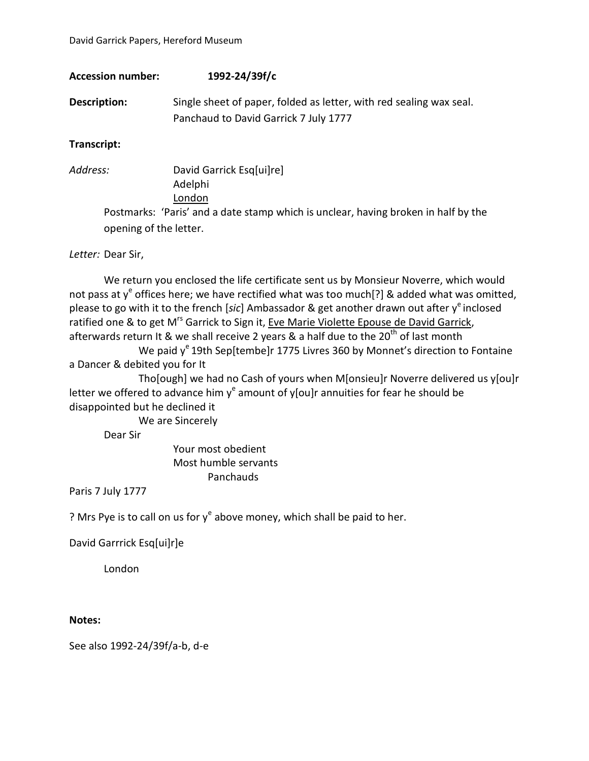| <b>Accession number:</b> | 1992-24/39f/c                                                                                                |
|--------------------------|--------------------------------------------------------------------------------------------------------------|
| Description:             | Single sheet of paper, folded as letter, with red sealing wax seal.<br>Panchaud to David Garrick 7 July 1777 |
|                          |                                                                                                              |

**Transcript:**

*Address:* David Garrick Esq[ui]re] Adelphi London Postmarks: 'Paris' and a date stamp which is unclear, having broken in half by the opening of the letter.

## *Letter:* Dear Sir,

We return you enclosed the life certificate sent us by Monsieur Noverre, which would not pass at y<sup>e</sup> offices here; we have rectified what was too much[?] & added what was omitted, please to go with it to the french [sic] Ambassador & get another drawn out after y<sup>e</sup> inclosed ratified one & to get M<sup>rs</sup> Garrick to Sign it, Eve Marie Violette Epouse de David Garrick, afterwards return It & we shall receive 2 years & a half due to the  $20<sup>th</sup>$  of last month

We paid  $y^e$  19th Sep[tembe]r 1775 Livres 360 by Monnet's direction to Fontaine a Dancer & debited you for It

Tho[ough] we had no Cash of yours when M[onsieu]r Noverre delivered us y[ou]r letter we offered to advance him y<sup>e</sup> amount of y[ou]r annuities for fear he should be disappointed but he declined it

We are Sincerely

Dear Sir

Your most obedient Most humble servants Panchauds

Paris 7 July 1777

? Mrs Pye is to call on us for  $y^e$  above money, which shall be paid to her.

David Garrrick Esq[ui]r]e

London

## **Notes:**

See also 1992-24/39f/a-b, d-e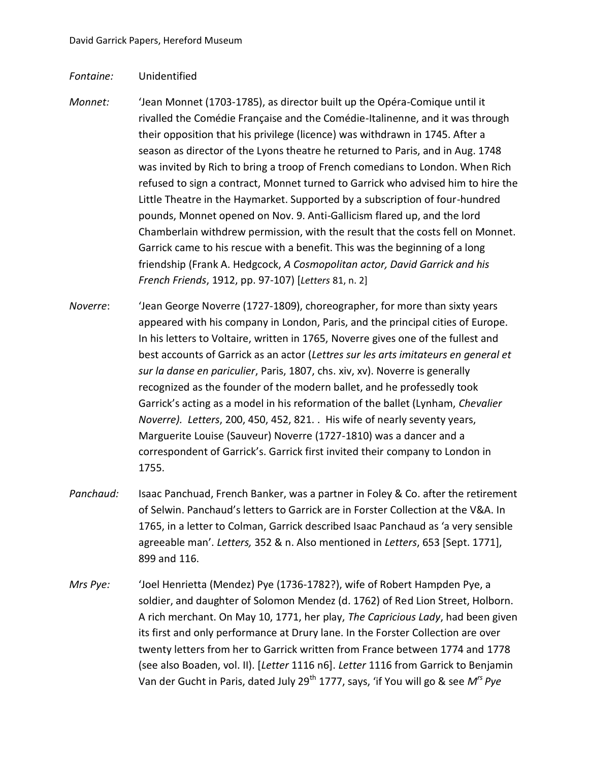## *Fontaine:* Unidentified

- *Monnet:* 'Jean Monnet (1703-1785), as director built up the Opéra-Comique until it rivalled the Comédie Française and the Comédie-Italinenne, and it was through their opposition that his privilege (licence) was withdrawn in 1745. After a season as director of the Lyons theatre he returned to Paris, and in Aug. 1748 was invited by Rich to bring a troop of French comedians to London. When Rich refused to sign a contract, Monnet turned to Garrick who advised him to hire the Little Theatre in the Haymarket. Supported by a subscription of four-hundred pounds, Monnet opened on Nov. 9. Anti-Gallicism flared up, and the lord Chamberlain withdrew permission, with the result that the costs fell on Monnet. Garrick came to his rescue with a benefit. This was the beginning of a long friendship (Frank A. Hedgcock, *A Cosmopolitan actor, David Garrick and his French Friends*, 1912, pp. 97-107) [*Letters* 81, n. 2]
- *Noverre*: 'Jean George Noverre (1727-1809), choreographer, for more than sixty years appeared with his company in London, Paris, and the principal cities of Europe. In his letters to Voltaire, written in 1765, Noverre gives one of the fullest and best accounts of Garrick as an actor (*Lettres sur les arts imitateurs en general et sur la danse en pariculier*, Paris, 1807, chs. xiv, xv). Noverre is generally recognized as the founder of the modern ballet, and he professedly took Garrick's acting as a model in his reformation of the ballet (Lynham, *Chevalier Noverre). Letters*, 200, 450, 452, 821. . His wife of nearly seventy years, Marguerite Louise (Sauveur) Noverre (1727-1810) was a dancer and a correspondent of Garrick's. Garrick first invited their company to London in 1755.
- *Panchaud:* Isaac Panchuad, French Banker, was a partner in Foley & Co. after the retirement of Selwin. Panchaud's letters to Garrick are in Forster Collection at the V&A. In 1765, in a letter to Colman, Garrick described Isaac Panchaud as 'a very sensible agreeable man'. *Letters,* 352 & n. Also mentioned in *Letters*, 653 [Sept. 1771], 899 and 116.
- *Mrs Pye:* 'Joel Henrietta (Mendez) Pye (1736-1782?), wife of Robert Hampden Pye, a soldier, and daughter of Solomon Mendez (d. 1762) of Red Lion Street, Holborn. A rich merchant. On May 10, 1771, her play, *The Capricious Lady*, had been given its first and only performance at Drury lane. In the Forster Collection are over twenty letters from her to Garrick written from France between 1774 and 1778 (see also Boaden, vol. II). [*Letter* 1116 n6]. *Letter* 1116 from Garrick to Benjamin Van der Gucht in Paris, dated July 29<sup>th</sup> 1777, says, 'if You will go & see M<sup>rs</sup> Pye